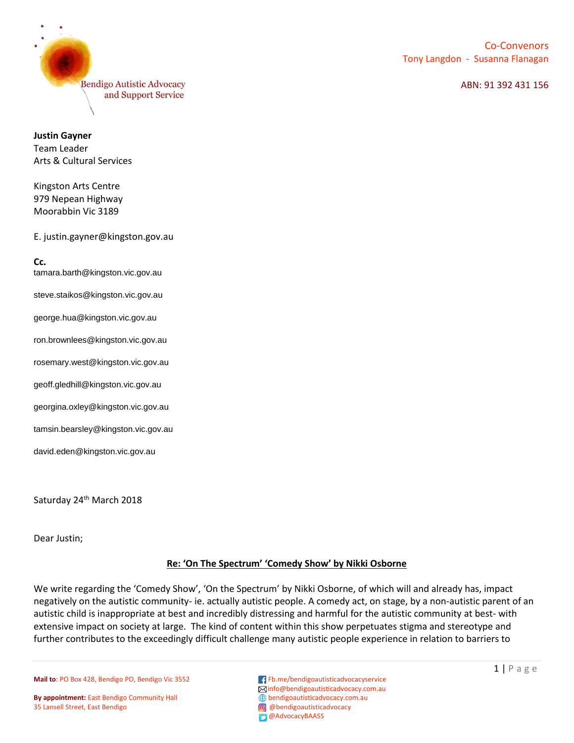

## ABN: 91 392 431 156

**Justin Gayner** Team Leader Arts & Cultural Services

Kingston Arts Centre 979 Nepean Highway Moorabbin Vic 3189

E. justin.gayner@kingston.gov.au

**Cc.** [tamara.barth@kingston.vic.gov.au](mailto:tamara.barth@kingston.vic.gov.au) [steve.staikos@kingston.vic.gov.au](mailto:steve.staikos@kingston.vic.gov.au) [george.hua@kingston.vic.gov.au](mailto:george.hua@kingston.vic.gov.au) [ron.brownlees@kingston.vic.gov.au](mailto:ron.brownlees@kingston.vic.gov.au) [rosemary.west@kingston.vic.gov.au](mailto:rosemary.west@kingston.vic.gov.au) [geoff.gledhill@kingston.vic.gov.au](mailto:geoff.gledhill@kingston.vic.gov.au) [georgina.oxley@kingston.vic.gov.au](mailto:georgina.oxley@kingston.vic.gov.au) [tamsin.bearsley@kingston.vic.gov.au](mailto:tamsin.bearsley@kingston.vic.gov.au) [david.eden@kingston.vic.gov.au](mailto:david.eden@kingston.vic.gov.au)

Saturday 24<sup>th</sup> March 2018

Dear Justin;

## **Re: 'On The Spectrum' 'Comedy Show' by Nikki Osborne**

We write regarding the 'Comedy Show', 'On the Spectrum' by Nikki Osborne, of which will and already has, impact negatively on the autistic community- ie. actually autistic people. A comedy act, on stage, by a non-autistic parent of an autistic child is inappropriate at best and incredibly distressing and harmful for the autistic community at best- with extensive impact on society at large. The kind of content within this show perpetuates stigma and stereotype and further contributes to the exceedingly difficult challenge many autistic people experience in relation to barriers to

**Mail to**: PO Box 428, Bendigo PO, Bendigo Vic 3552 **F** Fb.me/bendigoautisticadvocacyservice

**By appointment:** East Bendigo Community Hall **Burne Community Hall bendigoautisticadvocacy.com.au**<br> **Burne Community Hall bendigoautisticadvocacy**<br> **Burne Community Hall bendigoautisticadvocacy** 35 Lansell Street, East Bendigo